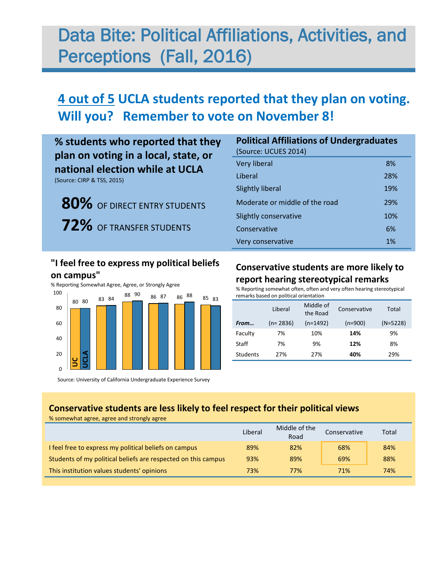# Data Bite: Political Affiliations, Activities, and Perceptions (Fall, 2016)

## **4 out of 5 UCLA students reported that they plan on voting. Will you? Remember to vote on November 8!**

## **% students who reported that they plan on voting in a local, state, or national election while at UCLA**

(Source: CIRP & TSS, 2015)

 **80%** OF DIRECT ENTRY STUDENTS  **72%** OF TRANSFER STUDENTS

### **"I feel free to express my political beliefs on campus"**



Source: University of California Undergraduate Experience Survey

| <b>Political Affiliations of Undergraduates</b><br>(Source: UCUES 2014) |     |
|-------------------------------------------------------------------------|-----|
| <b>Very liberal</b>                                                     | 8%  |
| Liberal                                                                 | 28% |
| <b>Slightly liberal</b>                                                 | 19% |
| Moderate or middle of the road                                          | 29% |
| Slightly conservative                                                   | 10% |
| Conservative                                                            | 6%  |
| Very conservative                                                       | 1%  |

#### **Conservative students are more likely to report hearing stereotypical remarks**

% Reporting somewhat often, often and very often hearing stereotypical remarks based on political orientation

|                 | Liberal    | Middle of<br>the Road | Conservative | Total      |
|-----------------|------------|-----------------------|--------------|------------|
| From            | $(n=2836)$ | $(n=1492)$            | $(n=900)$    | $(N=5228)$ |
| Faculty         | 7%         | 10%                   | 14%          | 9%         |
| Staff           | 7%         | 9%                    | 12%          | 8%         |
| <b>Students</b> | 27%        | 27%                   | 40%          | 29%        |

#### **Conservative students are less likely to feel respect for their political views**  % somewhat agree, agree and strongly agree

|                                                               | Liberal | Middle of the<br>Road | Conservative | Total |
|---------------------------------------------------------------|---------|-----------------------|--------------|-------|
| I feel free to express my political beliefs on campus         | 89%     | 82%                   | 68%          | 84%   |
| Students of my political beliefs are respected on this campus | 93%     | 89%                   | 69%          | 88%   |
| This institution values students' opinions                    | 73%     | 77%                   | 71%          | 74%   |